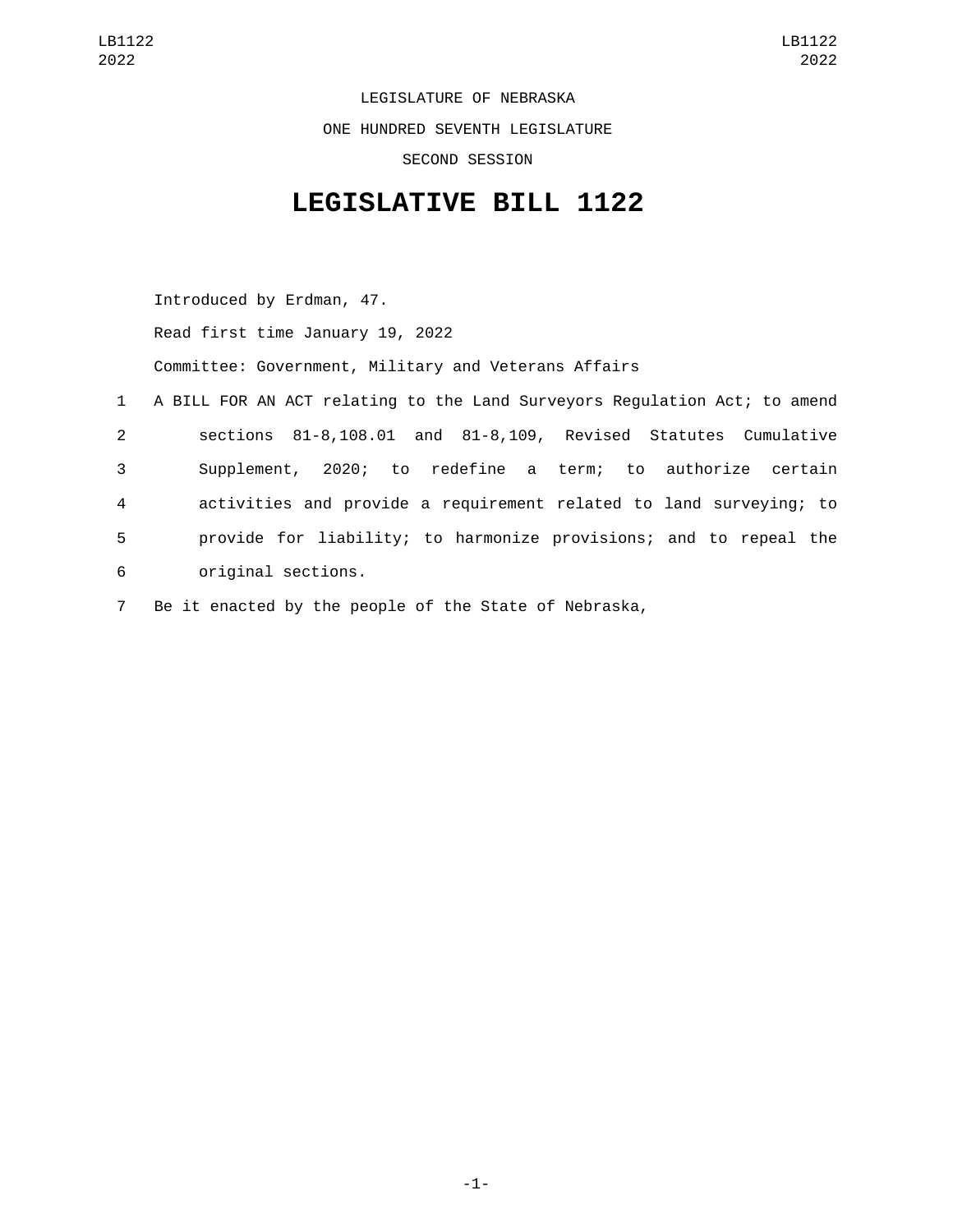LEGISLATURE OF NEBRASKA ONE HUNDRED SEVENTH LEGISLATURE SECOND SESSION

## **LEGISLATIVE BILL 1122**

Introduced by Erdman, 47. Read first time January 19, 2022 Committee: Government, Military and Veterans Affairs 1 A BILL FOR AN ACT relating to the Land Surveyors Regulation Act; to amend 2 sections 81-8,108.01 and 81-8,109, Revised Statutes Cumulative 3 Supplement, 2020; to redefine a term; to authorize certain 4 activities and provide a requirement related to land surveying; to 5 provide for liability; to harmonize provisions; and to repeal the original sections.6

7 Be it enacted by the people of the State of Nebraska,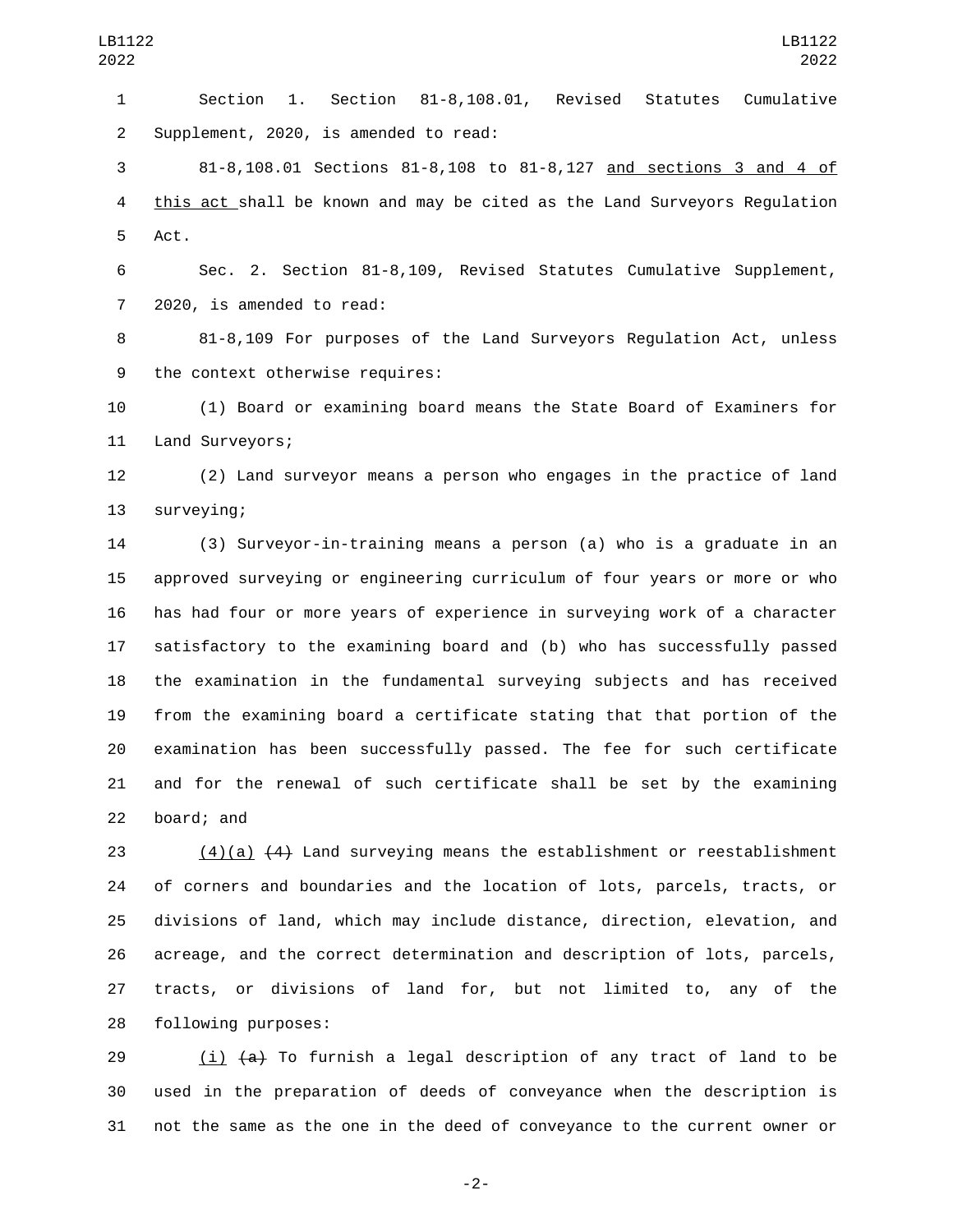Section 1. Section 81-8,108.01, Revised Statutes Cumulative 2 Supplement, 2020, is amended to read:

 81-8,108.01 Sections 81-8,108 to 81-8,127 and sections 3 and 4 of this act shall be known and may be cited as the Land Surveyors Regulation 5 Act.

 Sec. 2. Section 81-8,109, Revised Statutes Cumulative Supplement, 7 2020, is amended to read:

 81-8,109 For purposes of the Land Surveyors Regulation Act, unless 9 the context otherwise requires:

 (1) Board or examining board means the State Board of Examiners for 11 Land Surveyors;

 (2) Land surveyor means a person who engages in the practice of land 13 surveying;

 (3) Surveyor-in-training means a person (a) who is a graduate in an approved surveying or engineering curriculum of four years or more or who has had four or more years of experience in surveying work of a character satisfactory to the examining board and (b) who has successfully passed the examination in the fundamental surveying subjects and has received from the examining board a certificate stating that that portion of the examination has been successfully passed. The fee for such certificate and for the renewal of such certificate shall be set by the examining 22 board; and

 (4)(a) (4) Land surveying means the establishment or reestablishment of corners and boundaries and the location of lots, parcels, tracts, or divisions of land, which may include distance, direction, elevation, and acreage, and the correct determination and description of lots, parcels, tracts, or divisions of land for, but not limited to, any of the 28 following purposes:

29  $(i)$   $(a)$  To furnish a legal description of any tract of land to be used in the preparation of deeds of conveyance when the description is not the same as the one in the deed of conveyance to the current owner or

-2-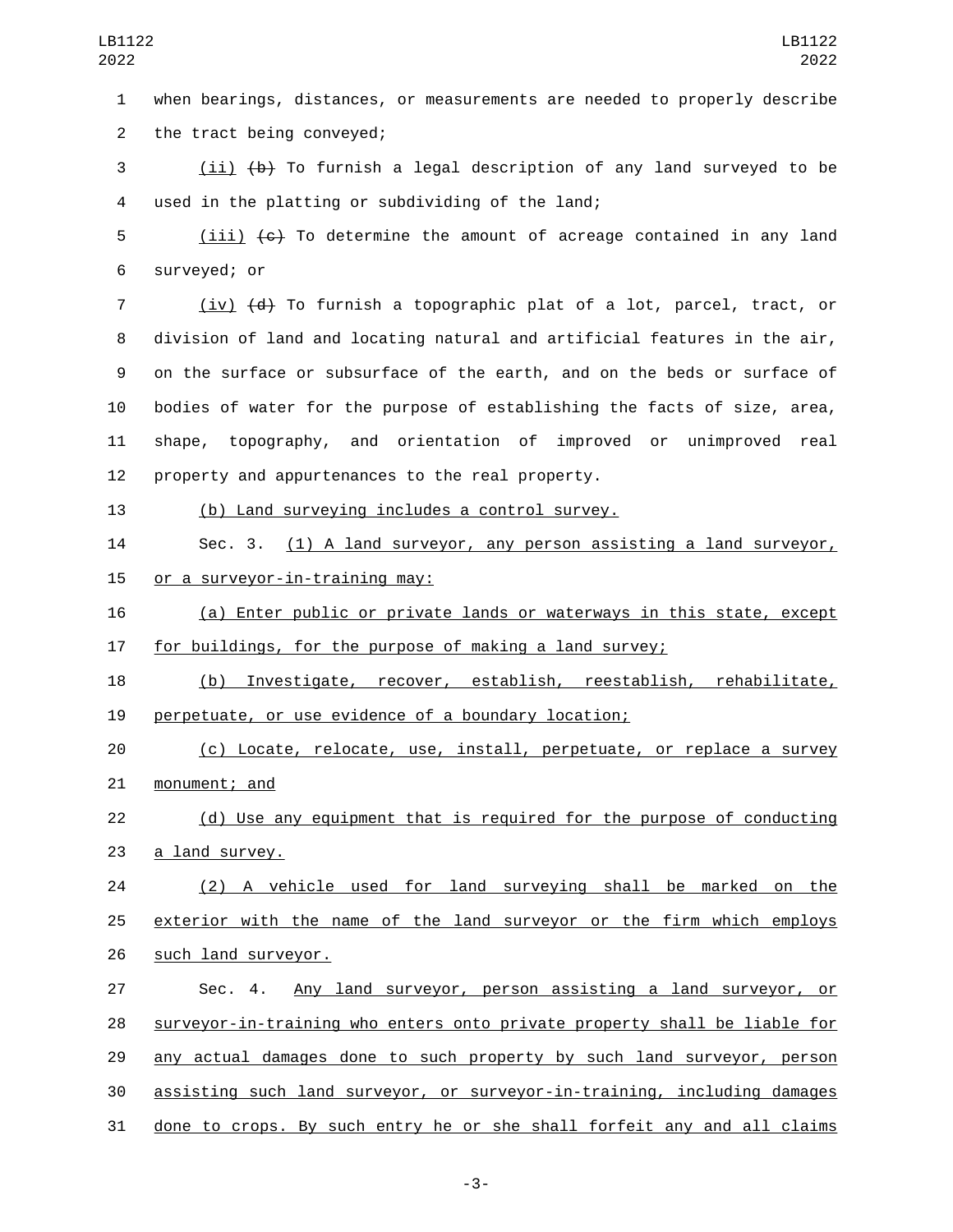when bearings, distances, or measurements are needed to properly describe 2 the tract being conveyed;

 (ii) (b) To furnish a legal description of any land surveyed to be used in the platting or subdividing of the land;4

 (iii)  $\left\lbrace e \right\rbrace$  To determine the amount of acreage contained in any land 6 surveyed; or

 (iv) (d) To furnish a topographic plat of a lot, parcel, tract, or division of land and locating natural and artificial features in the air, on the surface or subsurface of the earth, and on the beds or surface of bodies of water for the purpose of establishing the facts of size, area, shape, topography, and orientation of improved or unimproved real 12 property and appurtenances to the real property.

## (b) Land surveying includes a control survey.

 Sec. 3. (1) A land surveyor, any person assisting a land surveyor, 15 or a surveyor-in-training may:

 (a) Enter public or private lands or waterways in this state, except for buildings, for the purpose of making a land survey;

 (b) Investigate, recover, establish, reestablish, rehabilitate, 19 perpetuate, or use evidence of a boundary location;

 (c) Locate, relocate, use, install, perpetuate, or replace a survey 21 monument; and

 (d) Use any equipment that is required for the purpose of conducting 23 a land survey.

 (2) A vehicle used for land surveying shall be marked on the exterior with the name of the land surveyor or the firm which employs 26 such land surveyor.

 Sec. 4. Any land surveyor, person assisting a land surveyor, or surveyor-in-training who enters onto private property shall be liable for any actual damages done to such property by such land surveyor, person assisting such land surveyor, or surveyor-in-training, including damages done to crops. By such entry he or she shall forfeit any and all claims